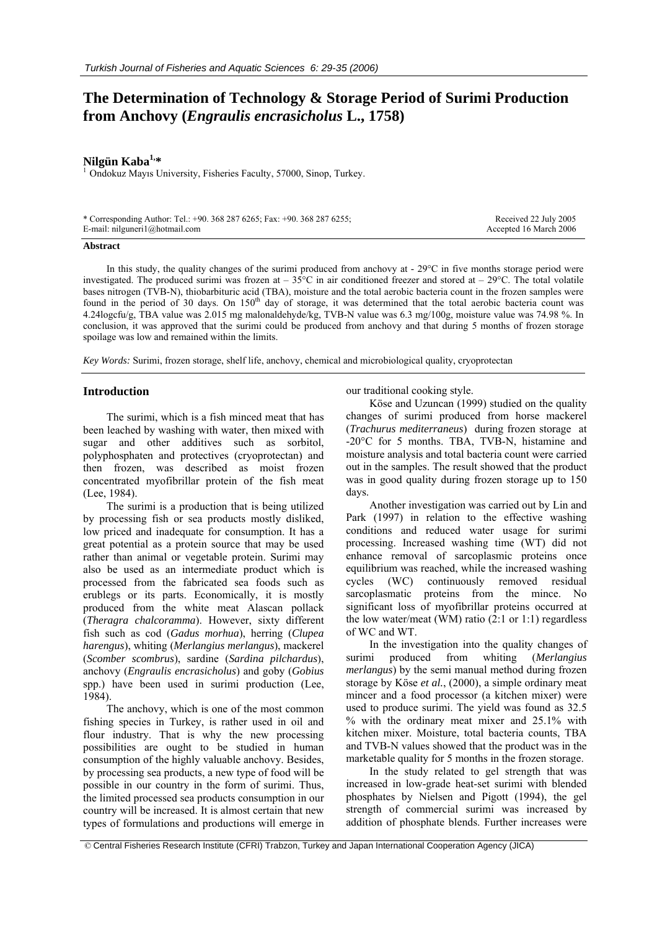# **The Determination of Technology & Storage Period of Surimi Production from Anchovy (***Engraulis encrasicholus* **L., 1758)**

**Nilgün Kaba1,\*** <sup>1</sup> Ondokuz Mayıs University, Fisheries Faculty, 57000, Sinop, Turkey.

| * Corresponding Author: Tel.: +90. 368 287 6265; Fax: +90. 368 287 6255; | Received 22 July 2005  |
|--------------------------------------------------------------------------|------------------------|
| E-mail: nilguneri1@hotmail.com                                           | Accepted 16 March 2006 |

### **Abstract**

In this study, the quality changes of the surimi produced from anchovy at  $-29^{\circ}$ C in five months storage period were investigated. The produced surimi was frozen at  $-35^{\circ}$ C in air conditioned freezer and stored at  $-29^{\circ}$ C. The total volatile bases nitrogen (TVB-N), thiobarbituric acid (TBA), moisture and the total aerobic bacteria count in the frozen samples were found in the period of 30 days. On  $150<sup>th</sup>$  day of storage, it was determined that the total aerobic bacteria count was 4.24logcfu/g, TBA value was 2.015 mg malonaldehyde/kg, TVB-N value was 6.3 mg/100g, moisture value was 74.98 %. In conclusion, it was approved that the surimi could be produced from anchovy and that during 5 months of frozen storage spoilage was low and remained within the limits.

*Key Words:* Surimi, frozen storage, shelf life, anchovy, chemical and microbiological quality, cryoprotectan

# **Introduction**

The surimi, which is a fish minced meat that has been leached by washing with water, then mixed with sugar and other additives such as sorbitol, polyphosphaten and protectives (cryoprotectan) and then frozen, was described as moist frozen concentrated myofibrillar protein of the fish meat (Lee, 1984).

The surimi is a production that is being utilized by processing fish or sea products mostly disliked, low priced and inadequate for consumption. It has a great potential as a protein source that may be used rather than animal or vegetable protein. Surimi may also be used as an intermediate product which is processed from the fabricated sea foods such as erublegs or its parts. Economically, it is mostly produced from the white meat Alascan pollack (*Theragra chalcoramma*). However, sixty different fish such as cod (*Gadus morhua*), herring (*Clupea harengus*), whiting (*Merlangius merlangus*), mackerel (*Scomber scombrus*), sardine (*Sardina pilchardus*), anchovy (*Engraulis encrasicholus*) and goby (*Gobius*  spp.) have been used in surimi production (Lee, 1984).

The anchovy, which is one of the most common fishing species in Turkey, is rather used in oil and flour industry. That is why the new processing possibilities are ought to be studied in human consumption of the highly valuable anchovy. Besides, by processing sea products, a new type of food will be possible in our country in the form of surimi. Thus, the limited processed sea products consumption in our country will be increased. It is almost certain that new types of formulations and productions will emerge in our traditional cooking style.

Köse and Uzuncan (1999) studied on the quality changes of surimi produced from horse mackerel (*Trachurus mediterraneus*) during frozen storage at -20°C for 5 months. TBA, TVB-N, histamine and moisture analysis and total bacteria count were carried out in the samples. The result showed that the product was in good quality during frozen storage up to 150 days.

Another investigation was carried out by Lin and Park (1997) in relation to the effective washing conditions and reduced water usage for surimi processing. Increased washing time (WT) did not enhance removal of sarcoplasmic proteins once equilibrium was reached, while the increased washing cycles (WC) continuously removed residual sarcoplasmatic proteins from the mince. No significant loss of myofibrillar proteins occurred at the low water/meat (WM) ratio  $(2:1 \text{ or } 1:1)$  regardless of WC and WT.

In the investigation into the quality changes of surimi produced from whiting (*Merlangius merlangus*) by the semi manual method during frozen storage by Köse *et al.*, (2000), a simple ordinary meat mincer and a food processor (a kitchen mixer) were used to produce surimi. The yield was found as 32.5 % with the ordinary meat mixer and 25.1% with kitchen mixer. Moisture, total bacteria counts, TBA and TVB-N values showed that the product was in the marketable quality for 5 months in the frozen storage.

In the study related to gel strength that was increased in low-grade heat-set surimi with blended phosphates by Nielsen and Pigott (1994), the gel strength of commercial surimi was increased by addition of phosphate blends. Further increases were

© Central Fisheries Research Institute (CFRI) Trabzon, Turkey and Japan International Cooperation Agency (JICA)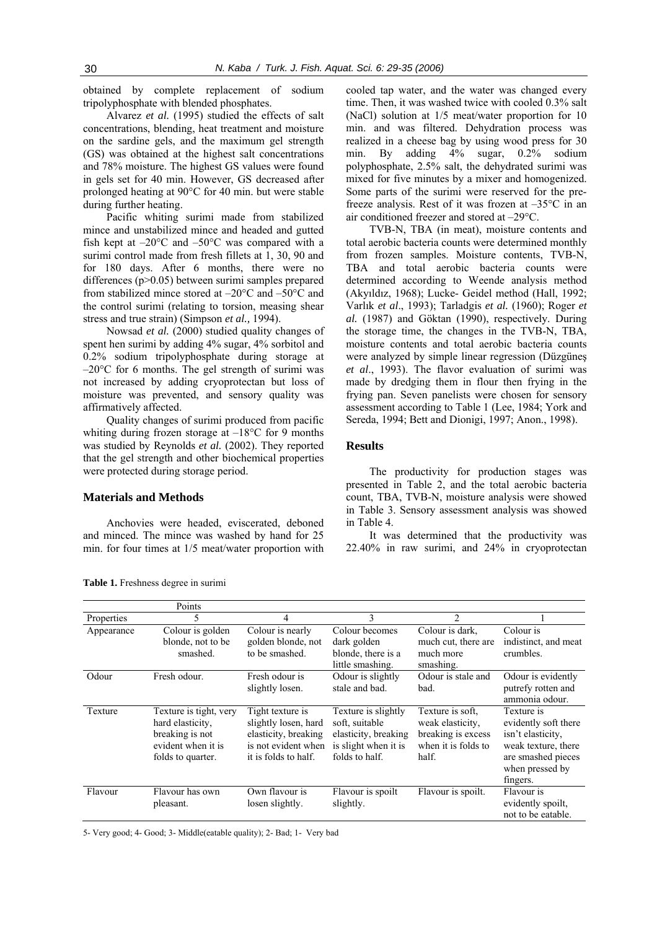obtained by complete replacement of sodium tripolyphosphate with blended phosphates.

Alvarez *et al.* (1995) studied the effects of salt concentrations, blending, heat treatment and moisture on the sardine gels, and the maximum gel strength (GS) was obtained at the highest salt concentrations and 78% moisture. The highest GS values were found in gels set for 40 min. However, GS decreased after prolonged heating at 90°C for 40 min. but were stable during further heating.

Pacific whiting surimi made from stabilized mince and unstabilized mince and headed and gutted fish kept at  $-20^{\circ}$ C and  $-50^{\circ}$ C was compared with a surimi control made from fresh fillets at 1, 30, 90 and for 180 days. After 6 months, there were no differences (p>0.05) between surimi samples prepared from stabilized mince stored at –20°C and –50°C and the control surimi (relating to torsion, measing shear stress and true strain) (Simpson *et al.,* 1994).

Nowsad *et al.* (2000) studied quality changes of spent hen surimi by adding 4% sugar, 4% sorbitol and 0.2% sodium tripolyphosphate during storage at –20°C for 6 months. The gel strength of surimi was not increased by adding cryoprotectan but loss of moisture was prevented, and sensory quality was affirmatively affected.

Quality changes of surimi produced from pacific whiting during frozen storage at  $-18^{\circ}$ C for 9 months was studied by Reynolds *et al.* (2002). They reported that the gel strength and other biochemical properties were protected during storage period.

# **Materials and Methods**

Anchovies were headed, eviscerated, deboned and minced. The mince was washed by hand for 25 min. for four times at 1/5 meat/water proportion with

cooled tap water, and the water was changed every time. Then, it was washed twice with cooled 0.3% salt (NaCl) solution at 1/5 meat/water proportion for 10 min. and was filtered. Dehydration process was realized in a cheese bag by using wood press for 30 min. By adding 4% sugar, 0.2% sodium polyphosphate, 2.5% salt, the dehydrated surimi was mixed for five minutes by a mixer and homogenized. Some parts of the surimi were reserved for the prefreeze analysis. Rest of it was frozen at –35°C in an air conditioned freezer and stored at –29°C.

TVB-N, TBA (in meat), moisture contents and total aerobic bacteria counts were determined monthly from frozen samples. Moisture contents, TVB-N, TBA and total aerobic bacteria counts were determined according to Weende analysis method (Akyıldız, 1968); Lucke- Geidel method (Hall, 1992; Varlık *et al*., 1993); Tarladgis *et al.* (1960); Roger *et al.* (1987) and Göktan (1990), respectively. During the storage time, the changes in the TVB-N, TBA, moisture contents and total aerobic bacteria counts were analyzed by simple linear regression (Düzgüneş *et al*., 1993). The flavor evaluation of surimi was made by dredging them in flour then frying in the frying pan. Seven panelists were chosen for sensory assessment according to Table 1 (Lee, 1984; York and Sereda, 1994; Bett and Dionigi, 1997; Anon., 1998).

# **Results**

The productivity for production stages was presented in Table 2, and the total aerobic bacteria count, TBA, TVB-N, moisture analysis were showed in Table 3. Sensory assessment analysis was showed in Table 4.

It was determined that the productivity was 22.40% in raw surimi, and 24% in cryoprotectan

|            | Points                                                                                                   |                                                                                                                 |                                                                                                         |                                                                                            |                                                                                                                                     |
|------------|----------------------------------------------------------------------------------------------------------|-----------------------------------------------------------------------------------------------------------------|---------------------------------------------------------------------------------------------------------|--------------------------------------------------------------------------------------------|-------------------------------------------------------------------------------------------------------------------------------------|
| Properties | 5                                                                                                        | 4                                                                                                               | 3                                                                                                       | $\mathfrak{D}$                                                                             |                                                                                                                                     |
| Appearance | $\overline{\text{C}}$ olour is golden<br>blonde, not to be<br>smashed.                                   | Colour is nearly<br>golden blonde, not<br>to be smashed.                                                        | Colour becomes<br>dark golden<br>blonde, there is a<br>little smashing.                                 | Colour is dark,<br>much cut, there are<br>much more<br>smashing.                           | Colour is<br>indistinct, and meat<br>crumbles.                                                                                      |
| Odour      | Fresh odour.                                                                                             | Fresh odour is<br>slightly losen.                                                                               | Odour is slightly<br>stale and bad.                                                                     | Odour is stale and<br>bad.                                                                 | Odour is evidently<br>putrefy rotten and<br>ammonia odour.                                                                          |
| Texture    | Texture is tight, very<br>hard elasticity.<br>breaking is not<br>evident when it is<br>folds to quarter. | Tight texture is<br>slightly losen, hard<br>elasticity, breaking<br>is not evident when<br>it is folds to half. | Texture is slightly<br>soft, suitable<br>elasticity, breaking<br>is slight when it is<br>folds to half. | Texture is soft.<br>weak elasticity.<br>breaking is excess<br>when it is folds to<br>half. | Texture is<br>evidently soft there<br>isn't elasticity.<br>weak texture, there<br>are smashed pieces<br>when pressed by<br>fingers. |
| Flavour    | Flavour has own<br>pleasant.                                                                             | Own flavour is<br>losen slightly.                                                                               | Flavour is spoilt<br>slightly.                                                                          | Flavour is spoilt.                                                                         | Flavour is<br>evidently spoilt,<br>not to be eatable.                                                                               |

**Table 1.** Freshness degree in surimi

5- Very good; 4- Good; 3- Middle(eatable quality); 2- Bad; 1- Very bad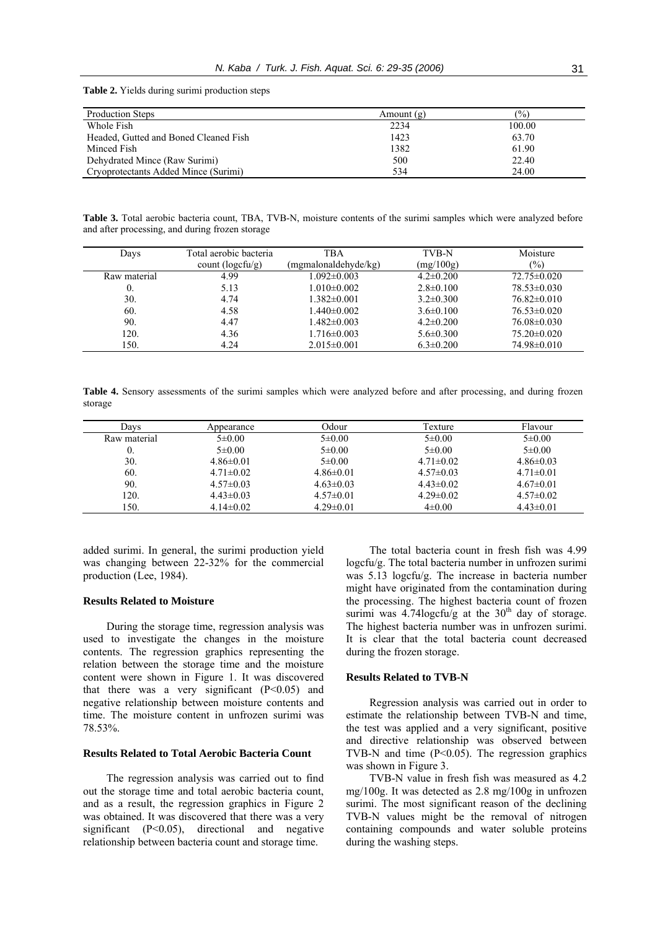**Table 2.** Yields during surimi production steps

| Production Steps                      | Amount $(g)$ | $\frac{1}{2}$ |
|---------------------------------------|--------------|---------------|
| Whole Fish                            | 2234         | 100.00        |
| Headed. Gutted and Boned Cleaned Fish | 1423         | 63.70         |
| Minced Fish                           | 1382         | 61.90         |
| Dehydrated Mince (Raw Surimi)         | 500          | 22.40         |
| Cryoprotectants Added Mince (Surimi)  | 534          | 24.00         |

**Table 3.** Total aerobic bacteria count, TBA, TVB-N, moisture contents of the surimi samples which were analyzed before and after processing, and during frozen storage

| Total aerobic bacteria    | TBA                  | TVB-N           | Moisture          |
|---------------------------|----------------------|-----------------|-------------------|
| count $(\text{logcfu/g})$ | (mgmalonaldehyde/kg) | (mg/100g)       | $\frac{1}{2}$     |
| 4.99                      | $1.092 \pm 0.003$    | $4.2 \pm 0.200$ | $72.75 \pm 0.020$ |
| 5.13                      | $1.010\pm0.002$      | $2.8 \pm 0.100$ | $78.53\pm0.030$   |
| 4.74                      | $1.382\pm0.001$      | $3.2 \pm 0.300$ | $76.82 \pm 0.010$ |
| 4.58                      | $1.440\pm0.002$      | $3.6 \pm 0.100$ | $76.53\pm0.020$   |
| 4.47                      | $1.482\pm0.003$      | $4.2 \pm 0.200$ | $76.08 \pm 0.030$ |
| 4.36                      | $1.716 \pm 0.003$    | $5.6 \pm 0.300$ | $75.20 \pm 0.020$ |
| 4.24                      | $2.015 \pm 0.001$    | $6.3 \pm 0.200$ | 74.98±0.010       |
|                           |                      |                 |                   |

**Table 4.** Sensory assessments of the surimi samples which were analyzed before and after processing, and during frozen storage

| Davs         | Appearance      | Odour           | Texture         | Flavour         |
|--------------|-----------------|-----------------|-----------------|-----------------|
| Raw material | $5 \pm 0.00$    | $5 \pm 0.00$    | $5\pm 0.00$     | $5\pm0.00$      |
| 0.           | $5\pm0.00$      | $5\pm0.00$      | $5\pm0.00$      | $5\pm0.00$      |
| 30.          | $4.86\pm0.01$   | $5 \pm 0.00$    | $4.71 \pm 0.02$ | $4.86\pm0.03$   |
| 60.          | $4.71 \pm 0.02$ | $4.86\pm0.01$   | $4.57\pm0.03$   | $4.71 \pm 0.01$ |
| 90.          | $4.57\pm0.03$   | $4.63 \pm 0.03$ | $4.43\pm0.02$   | $4.67\pm0.01$   |
| 120.         | $4.43\pm0.03$   | $4.57\pm0.01$   | $4.29 \pm 0.02$ | $4.57\pm0.02$   |
| 150.         | $4.14\pm0.02$   | $4.29 \pm 0.01$ | $4\pm 0.00$     | $4.43\pm0.01$   |

added surimi. In general, the surimi production yield was changing between 22-32% for the commercial production (Lee, 1984).

# **Results Related to Moisture**

During the storage time, regression analysis was used to investigate the changes in the moisture contents. The regression graphics representing the relation between the storage time and the moisture content were shown in Figure 1. It was discovered that there was a very significant  $(P<0.05)$  and negative relationship between moisture contents and time. The moisture content in unfrozen surimi was 78.53%.

# **Results Related to Total Aerobic Bacteria Count**

The regression analysis was carried out to find out the storage time and total aerobic bacteria count, and as a result, the regression graphics in Figure 2 was obtained. It was discovered that there was a very significant  $(P<0.05)$ , directional and negative relationship between bacteria count and storage time.

The total bacteria count in fresh fish was 4.99 logcfu/g. The total bacteria number in unfrozen surimi was 5.13 logcfu/g. The increase in bacteria number might have originated from the contamination during the processing. The highest bacteria count of frozen surimi was 4.74 $\log \frac{f}{g}$  at the 30<sup>th</sup> day of storage. The highest bacteria number was in unfrozen surimi. It is clear that the total bacteria count decreased during the frozen storage.

#### **Results Related to TVB-N**

Regression analysis was carried out in order to estimate the relationship between TVB-N and time, the test was applied and a very significant, positive and directive relationship was observed between TVB-N and time  $(P<0.05)$ . The regression graphics was shown in Figure 3.

TVB-N value in fresh fish was measured as 4.2 mg/100g. It was detected as 2.8 mg/100g in unfrozen surimi. The most significant reason of the declining TVB-N values might be the removal of nitrogen containing compounds and water soluble proteins during the washing steps.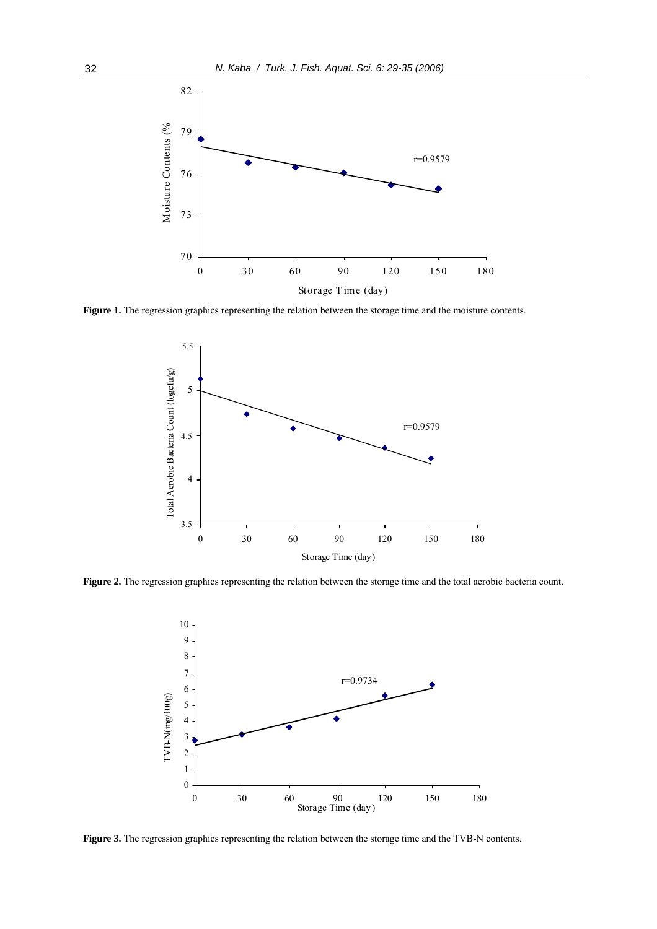

**Figure 1.** The regression graphics representing the relation between the storage time and the moisture contents.



Figure 2. The regression graphics representing the relation between the storage time and the total aerobic bacteria count.



**Figure 3.** The regression graphics representing the relation between the storage time and the TVB-N contents.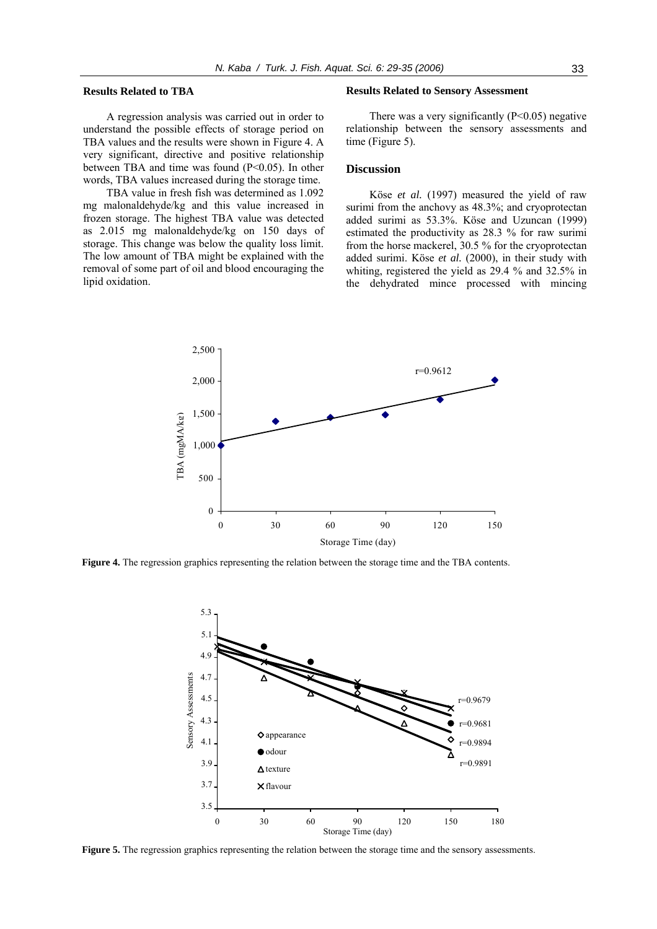#### **Results Related to TBA**

A regression analysis was carried out in order to understand the possible effects of storage period on TBA values and the results were shown in Figure 4. A very significant, directive and positive relationship between TBA and time was found (P<0.05). In other words, TBA values increased during the storage time.

TBA value in fresh fish was determined as 1.092 mg malonaldehyde/kg and this value increased in frozen storage. The highest TBA value was detected as 2.015 mg malonaldehyde/kg on 150 days of storage. This change was below the quality loss limit. The low amount of TBA might be explained with the removal of some part of oil and blood encouraging the lipid oxidation.

### **Results Related to Sensory Assessment**

There was a very significantly  $(P<0.05)$  negative relationship between the sensory assessments and time (Figure 5).

# **Discussion**

Köse *et al.* (1997) measured the yield of raw surimi from the anchovy as 48.3%; and cryoprotectan added surimi as 53.3%. Köse and Uzuncan (1999) estimated the productivity as 28.3 % for raw surimi from the horse mackerel, 30.5 % for the cryoprotectan added surimi. Köse *et al.* (2000), in their study with whiting, registered the yield as 29.4 % and 32.5% in the dehydrated mince processed with mincing



**Figure 4.** The regression graphics representing the relation between the storage time and the TBA contents.



**Figure 5.** The regression graphics representing the relation between the storage time and the sensory assessments.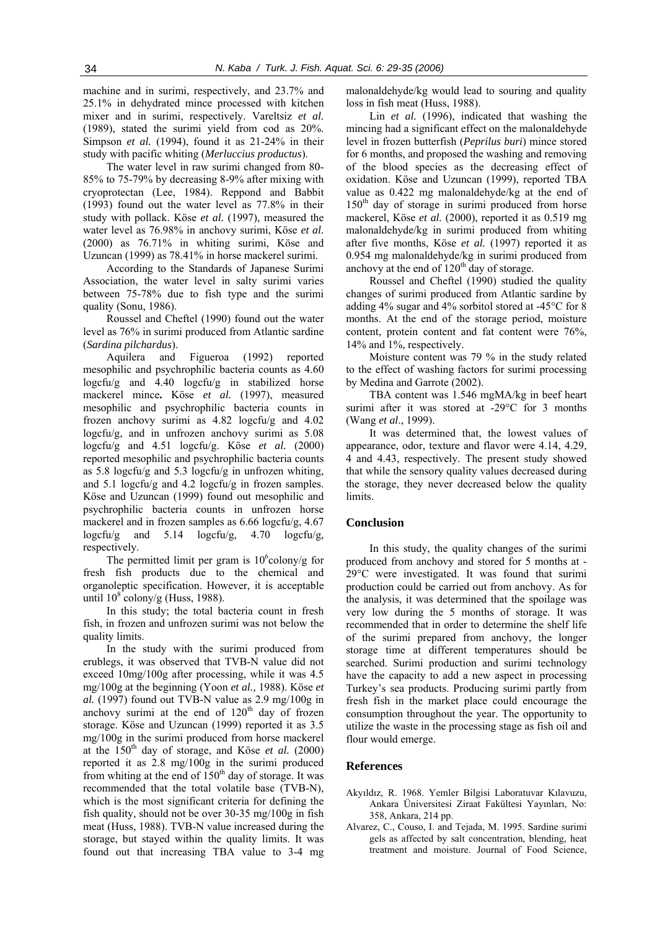machine and in surimi, respectively, and 23.7% and 25.1% in dehydrated mince processed with kitchen mixer and in surimi, respectively. Vareltsiz *et al.*  (1989), stated the surimi yield from cod as 20%. Simpson *et al.* (1994), found it as 21-24% in their study with pacific whiting (*Merluccius productus*).

The water level in raw surimi changed from 80- 85% to 75-79% by decreasing 8-9% after mixing with cryoprotectan (Lee, 1984). Reppond and Babbit (1993) found out the water level as 77.8% in their study with pollack. Köse *et al.* (1997), measured the water level as 76.98% in anchovy surimi, Köse *et al.* (2000) as 76.71% in whiting surimi, Köse and Uzuncan (1999) as 78.41% in horse mackerel surimi.

According to the Standards of Japanese Surimi Association, the water level in salty surimi varies between 75-78% due to fish type and the surimi quality (Sonu, 1986).

Roussel and Cheftel (1990) found out the water level as 76% in surimi produced from Atlantic sardine (*Sardina pilchardus*).

Aquilera and Figueroa (1992) reported mesophilic and psychrophilic bacteria counts as 4.60  $logc f u/g$  and 4.40  $logc f u/g$  in stabilized horse mackerel mince**.** Köse *et al.* (1997), measured mesophilic and psychrophilic bacteria counts in frozen anchovy surimi as 4.82 logcfu/g and 4.02 logcfu/g, and in unfrozen anchovy surimi as 5.08 logcfu/g and 4.51 logcfu/g. Köse *et al.* (2000) reported mesophilic and psychrophilic bacteria counts as 5.8 logcfu/g and 5.3 logcfu/g in unfrozen whiting, and 5.1 logcfu/g and 4.2 logcfu/g in frozen samples. Köse and Uzuncan (1999) found out mesophilic and psychrophilic bacteria counts in unfrozen horse mackerel and in frozen samples as  $6.66 \log(c)g$ ,  $4.67$ logcfu/g and 5.14 logcfu/g, 4.70 logcfu/g, respectively.

The permitted limit per gram is  $10^6$ colony/g for fresh fish products due to the chemical and organoleptic specification. However, it is acceptable until  $10^8$  colony/g (Huss, 1988).

In this study; the total bacteria count in fresh fish, in frozen and unfrozen surimi was not below the quality limits.

In the study with the surimi produced from erublegs, it was observed that TVB-N value did not exceed 10mg/100g after processing, while it was 4.5 mg/100g at the beginning (Yoon *et al.,* 1988). Köse *et al.* (1997) found out TVB-N value as 2.9 mg/100g in anchovy surimi at the end of  $120<sup>th</sup>$  day of frozen storage. Köse and Uzuncan (1999) reported it as 3.5 mg/100g in the surimi produced from horse mackerel at the 150th day of storage, and Köse *et al.* (2000) reported it as 2.8 mg/100g in the surimi produced from whiting at the end of  $150<sup>th</sup>$  day of storage. It was recommended that the total volatile base (TVB-N), which is the most significant criteria for defining the fish quality, should not be over 30-35 mg/100g in fish meat (Huss, 1988). TVB-N value increased during the storage, but stayed within the quality limits. It was found out that increasing TBA value to 3-4 mg malonaldehyde/kg would lead to souring and quality loss in fish meat (Huss, 1988).

Lin *et al.* (1996), indicated that washing the mincing had a significant effect on the malonaldehyde level in frozen butterfish (*Peprilus buri*) mince stored for 6 months, and proposed the washing and removing of the blood species as the decreasing effect of oxidation. Köse and Uzuncan (1999), reported TBA value as 0.422 mg malonaldehyde/kg at the end of  $150<sup>th</sup>$  day of storage in surimi produced from horse mackerel, Köse *et al.* (2000), reported it as 0.519 mg malonaldehyde/kg in surimi produced from whiting after five months, Köse *et al.* (1997) reported it as 0.954 mg malonaldehyde/kg in surimi produced from anchovy at the end of  $120<sup>th</sup>$  day of storage.

Roussel and Cheftel (1990) studied the quality changes of surimi produced from Atlantic sardine by adding 4% sugar and 4% sorbitol stored at -45°C for 8 months. At the end of the storage period, moisture content, protein content and fat content were 76%, 14% and 1%, respectively.

Moisture content was 79 % in the study related to the effect of washing factors for surimi processing by Medina and Garrote (2002).

TBA content was 1.546 mgMA/kg in beef heart surimi after it was stored at -29°C for 3 months (Wang *et al*., 1999).

It was determined that, the lowest values of appearance, odor, texture and flavor were 4.14, 4.29, 4 and 4.43, respectively. The present study showed that while the sensory quality values decreased during the storage, they never decreased below the quality limits.

# **Conclusion**

In this study, the quality changes of the surimi produced from anchovy and stored for 5 months at - 29°C were investigated. It was found that surimi production could be carried out from anchovy. As for the analysis, it was determined that the spoilage was very low during the 5 months of storage. It was recommended that in order to determine the shelf life of the surimi prepared from anchovy, the longer storage time at different temperatures should be searched. Surimi production and surimi technology have the capacity to add a new aspect in processing Turkey's sea products. Producing surimi partly from fresh fish in the market place could encourage the consumption throughout the year. The opportunity to utilize the waste in the processing stage as fish oil and flour would emerge.

# **References**

- Akyıldız, R. 1968. Yemler Bilgisi Laboratuvar Kılavuzu, Ankara Üniversitesi Ziraat Fakültesi Yayınları, No: 358, Ankara, 214 pp.
- Alvarez, C., Couso, I. and Tejada, M. 1995. Sardine surimi gels as affected by salt concentration, blending, heat treatment and moisture. Journal of Food Science,